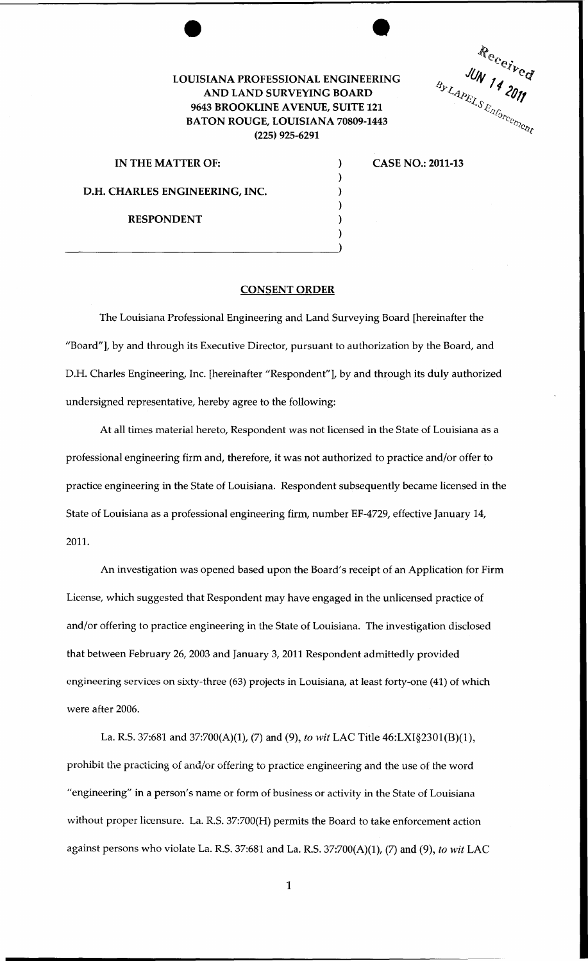## LOUISIANA PROFESSIONAL ENGINEERING AND LAND SURVEYING BOARD 9643 BROOKLINE AVENUE, SUITE 121 BATON ROUGE, LOUISIANA 70809-1443 (225) 925-6291

) ) ) ) ) )

Received

| IN THE MATTER OF:                     |
|---------------------------------------|
| <b>D.H. CHARLES ENGINEERING, INC.</b> |
| <b>RESPONDENT</b>                     |

 $\frac{1}{2}$ 

CASE NO.: 2011-13

## CONSENT ORDER

The Louisiana Professional Engineering and Land Surveying Board [hereinafter the "Board"], by and through its Executive Director, pursuant to authorization by the Board, and D.H. Charles Engineering, Inc. [hereinafter "Respondent"], by and through its duly authorized undersigned representative, hereby agree to the following:

At all times material hereto, Respondent was not licensed in the State of Louisiana as a professional engineering firm and, therefore, it was not authorized to practice and/or offer to practice engineering in the State of Louisiana. Respondent subsequently became licensed in the State of Louisiana as a professional engineering firm, number EF-4729, effective January 14, 2011.

An investigation was opened based upon the Board's receipt of an Application for Firm License, which suggested that Respondent may have engaged in the unlicensed practice of and/or offering to practice engineering in the State of Louisiana. The investigation disclosed that between February 26, 2003 and January 3, 2011 Respondent admittedly provided engineering services on sixty-three (63) projects in Louisiana, at least forty-one (41) of which were after 2006.

La. R.S. 37:681 and 37:700(A)(1), (7) and (9), *to wit* LAC Title 46:LXI§2301(B)(l), prohibit the practicing of and/or offering to practice engineering and the use of the word "engineering" in a person's name or form of business or activity in the State of Louisiana without proper licensure. La. R.S. 37:700(H) permits the Board to take enforcement action against persons who violate La. R.S. 37:681 and La. R.S. 37:700(A)(1), (7) and (9), *to wit* LAC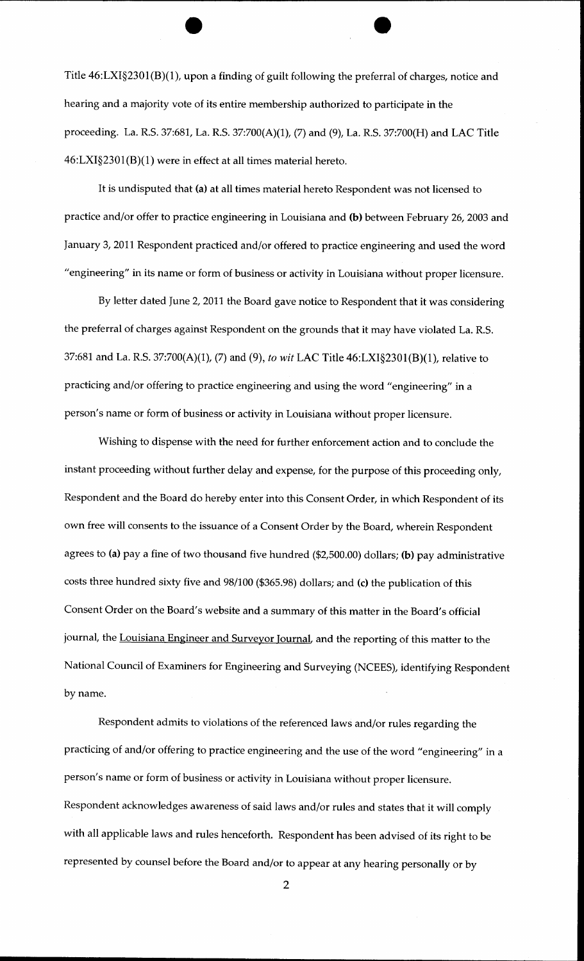Title 46:LXI§2301(B)(l), upon a finding of guilt following the preferral of charges, notice and hearing and a majority vote of its entire membership authorized to participate in the proceeding. La. R.S. 37:681, La. R.S. 37:700(A)(1), (7) and (9), La. R.S. 37:700(H) and LAC Title  $46: LXI§2301(B)(1)$  were in effect at all times material hereto.

It is undisputed that (a) at all times material hereto Respondent was not licensed to practice and/or offer to practice engineering in Louisiana and (b) between February 26, 2003 and January 3, 2011 Respondent practiced and/or offered to practice engineering and used the word "engineering" in its name or form of business or activity in Louisiana without proper licensure.

By letter dated June 2, 2011 the Board gave notice to Respondent that it was considering the preferral of charges against Respondent on the grounds that it may have violated La. R.S. 37:681 and La. R.S. 37:700(A)(1), (7) and (9), *to wit* LAC Title 46:LXI§2301(B)(l), relative to practicing and/or offering to practice engineering and using the word "engineering" in a person's name or form of business or activity in Louisiana without proper licensure.

Wishing to dispense with the need for further enforcement action and to conclude the instant proceeding without further delay and expense, for the purpose of this proceeding only, Respondent and the Board do hereby enter into this Consent Order, in which Respondent of its own free will consents to the issuance of a Consent Order by the Board, wherein Respondent agrees to (a) pay a fine of two thousand five hundred (\$2,500.00) dollars; (b) pay administrative costs three hundred sixty five and 98/100 (\$365.98) dollars; and (c) the publication of this Consent Order on the Board's website and a summary of this matter in the Board's official journal, the Louisiana Engineer and Surveyor Journal, and the reporting of this matter to the National Council of Examiners for Engineering and Surveying (NCEES), identifying Respondent by name.

Respondent admits to violations of the referenced laws and/or rules regarding the practicing of and/or offering to practice engineering and the use of the word "engineering" in a person's name or form of business or activity in Louisiana without proper licensure. Respondent acknowledges awareness of said laws and/or rules and states that it will comply with all applicable laws and rules henceforth. Respondent has been advised of its right to be represented by counsel before the Board and/or to appear at any hearing personally or by

2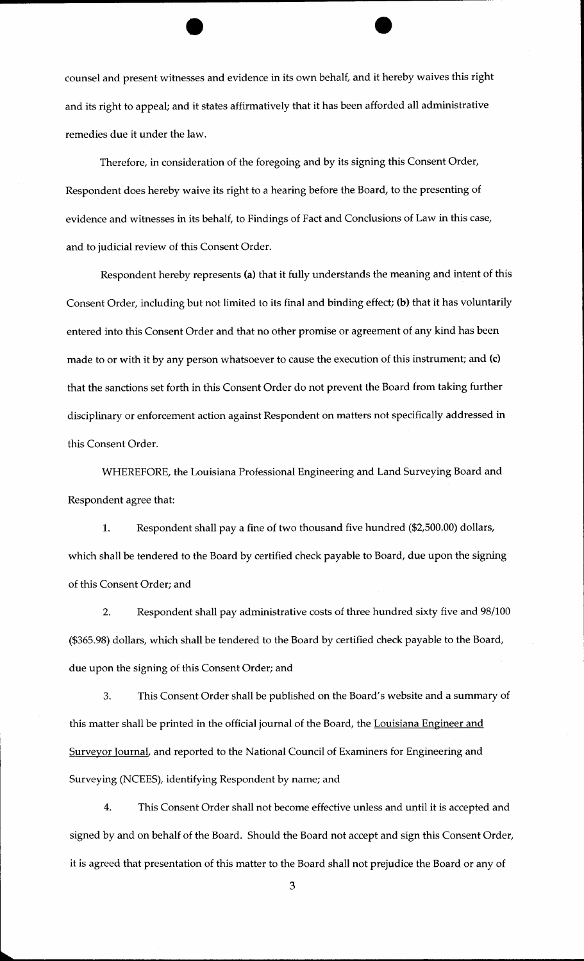counsel and present witnesses and evidence in its own behalf, and it hereby waives this right and its right to appeal; and it states affirmatively that it has been afforded all administrative remedies due it under the law.

Therefore, in consideration of the foregoing and by its signing this Consent Order, Respondent does hereby waive its right to a hearing before the Board, to the presenting of evidence and witnesses in its behalf, to Findings of Fact and Conclusions of Law in this case, and to judicial review of this Consent Order.

Respondent hereby represents (a) that it fully understands the meaning and intent of this Consent Order, including but not limited to its final and binding effect; (b) that it has voluntarily entered into this Consent Order and that no other promise or agreement of any kind has been made to or with it by any person whatsoever to cause the execution of this instrument; and (c) that the sanctions set forth in this Consent Order do not prevent the Board from taking further disciplinary or enforcement action against Respondent on matters not specifically addressed in this Consent Order.

WHEREFORE, the Louisiana Professional Engineering and Land Surveying Board and Respondent agree that:

1. Respondent shall pay a fine of two thousand five hundred (\$2,500.00) dollars, which shall be tendered to the Board by certified check payable to Board, due upon the signing of this Consent Order; and

2. Respondent shall pay administrative costs of three hundred sixty five and 98/100 (\$365.98) dollars, which shall be tendered to the Board by certified check payable to the Board, due upon the signing of this Consent Order; and

3. This Consent Order shall be published on the Board's website and a summary of this matter shall be printed in the official journal of the Board, the Louisiana Engineer and Surveyor Journal, and reported to the National Council of Examiners for Engineering and Surveying (NCEES), identifying Respondent by name; and

4. This Consent Order shall not become effective unless and until it is accepted and signed by and on behalf of the Board. Should the Board not accept and sign this Consent Order, it is agreed that presentation of this matter to the Board shall not prejudice the Board or any of

3